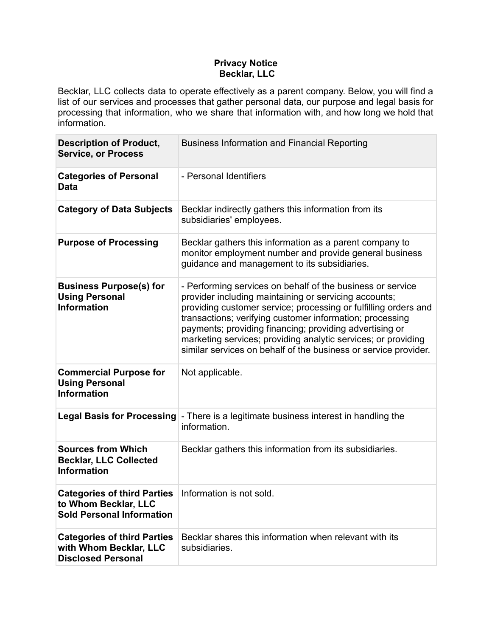# **Privacy Notice Becklar, LLC**

Becklar, LLC collects data to operate effectively as a parent company. Below, you will find a list of our services and processes that gather personal data, our purpose and legal basis for processing that information, who we share that information with, and how long we hold that information.

| <b>Description of Product,</b><br><b>Service, or Process</b>                                   | <b>Business Information and Financial Reporting</b>                                                                                                                                                                                                                                                                                                                                                                                               |  |
|------------------------------------------------------------------------------------------------|---------------------------------------------------------------------------------------------------------------------------------------------------------------------------------------------------------------------------------------------------------------------------------------------------------------------------------------------------------------------------------------------------------------------------------------------------|--|
| <b>Categories of Personal</b><br><b>Data</b>                                                   | - Personal Identifiers                                                                                                                                                                                                                                                                                                                                                                                                                            |  |
| <b>Category of Data Subjects</b>                                                               | Becklar indirectly gathers this information from its<br>subsidiaries' employees.                                                                                                                                                                                                                                                                                                                                                                  |  |
| <b>Purpose of Processing</b>                                                                   | Becklar gathers this information as a parent company to<br>monitor employment number and provide general business<br>guidance and management to its subsidiaries.                                                                                                                                                                                                                                                                                 |  |
| <b>Business Purpose(s) for</b><br><b>Using Personal</b><br><b>Information</b>                  | - Performing services on behalf of the business or service<br>provider including maintaining or servicing accounts;<br>providing customer service; processing or fulfilling orders and<br>transactions; verifying customer information; processing<br>payments; providing financing; providing advertising or<br>marketing services; providing analytic services; or providing<br>similar services on behalf of the business or service provider. |  |
| <b>Commercial Purpose for</b><br><b>Using Personal</b><br><b>Information</b>                   | Not applicable.                                                                                                                                                                                                                                                                                                                                                                                                                                   |  |
| <b>Legal Basis for Processing</b>                                                              | - There is a legitimate business interest in handling the<br>information.                                                                                                                                                                                                                                                                                                                                                                         |  |
| <b>Sources from Which</b><br><b>Becklar, LLC Collected</b><br><b>Information</b>               | Becklar gathers this information from its subsidiaries.                                                                                                                                                                                                                                                                                                                                                                                           |  |
| <b>Categories of third Parties</b><br>to Whom Becklar, LLC<br><b>Sold Personal Information</b> | Information is not sold.                                                                                                                                                                                                                                                                                                                                                                                                                          |  |
| <b>Categories of third Parties</b><br>with Whom Becklar, LLC<br><b>Disclosed Personal</b>      | Becklar shares this information when relevant with its<br>subsidiaries.                                                                                                                                                                                                                                                                                                                                                                           |  |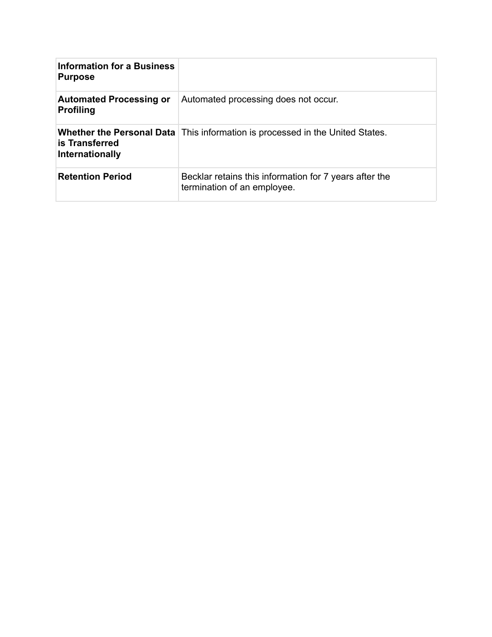| <b>Information for a Business</b><br><b>Purpose</b> |                                                                                        |
|-----------------------------------------------------|----------------------------------------------------------------------------------------|
| <b>Automated Processing or</b><br><b>Profiling</b>  | Automated processing does not occur.                                                   |
| is Transferred<br>Internationally                   | <b>Whether the Personal Data</b>   This information is processed in the United States. |
| <b>Retention Period</b>                             | Becklar retains this information for 7 years after the<br>termination of an employee.  |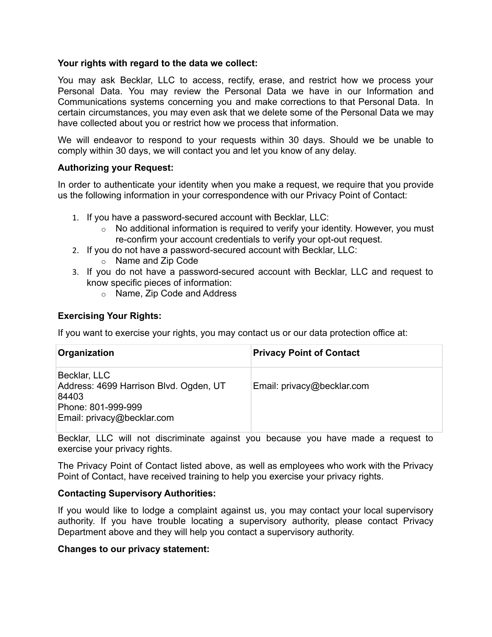### **Your rights with regard to the data we collect:**

You may ask Becklar, LLC to access, rectify, erase, and restrict how we process your Personal Data. You may review the Personal Data we have in our Information and Communications systems concerning you and make corrections to that Personal Data. In certain circumstances, you may even ask that we delete some of the Personal Data we may have collected about you or restrict how we process that information.

We will endeavor to respond to your requests within 30 days. Should we be unable to comply within 30 days, we will contact you and let you know of any delay.

## **Authorizing your Request:**

In order to authenticate your identity when you make a request, we require that you provide us the following information in your correspondence with our Privacy Point of Contact:

- 1. If you have a password-secured account with Becklar, LLC:
	- $\circ$  No additional information is required to verify your identity. However, you must re-confirm your account credentials to verify your opt-out request.
- 2. If you do not have a password-secured account with Becklar, LLC:
	- o Name and Zip Code
- 3. If you do not have a password-secured account with Becklar, LLC and request to know specific pieces of information:
	- o Name, Zip Code and Address

## **Exercising Your Rights:**

If you want to exercise your rights, you may contact us or our data protection office at:

| Organization                                                                                                        | <b>Privacy Point of Contact</b> |
|---------------------------------------------------------------------------------------------------------------------|---------------------------------|
| Becklar, LLC<br>Address: 4699 Harrison Blvd. Ogden, UT<br>84403<br>Phone: 801-999-999<br>Email: privacy@becklar.com | Email: privacy@becklar.com      |

Becklar, LLC will not discriminate against you because you have made a request to exercise your privacy rights.

The Privacy Point of Contact listed above, as well as employees who work with the Privacy Point of Contact, have received training to help you exercise your privacy rights.

### **Contacting Supervisory Authorities:**

If you would like to lodge a complaint against us, you may contact your local supervisory authority. If you have trouble locating a supervisory authority, please contact Privacy Department above and they will help you contact a supervisory authority.

### **Changes to our privacy statement:**